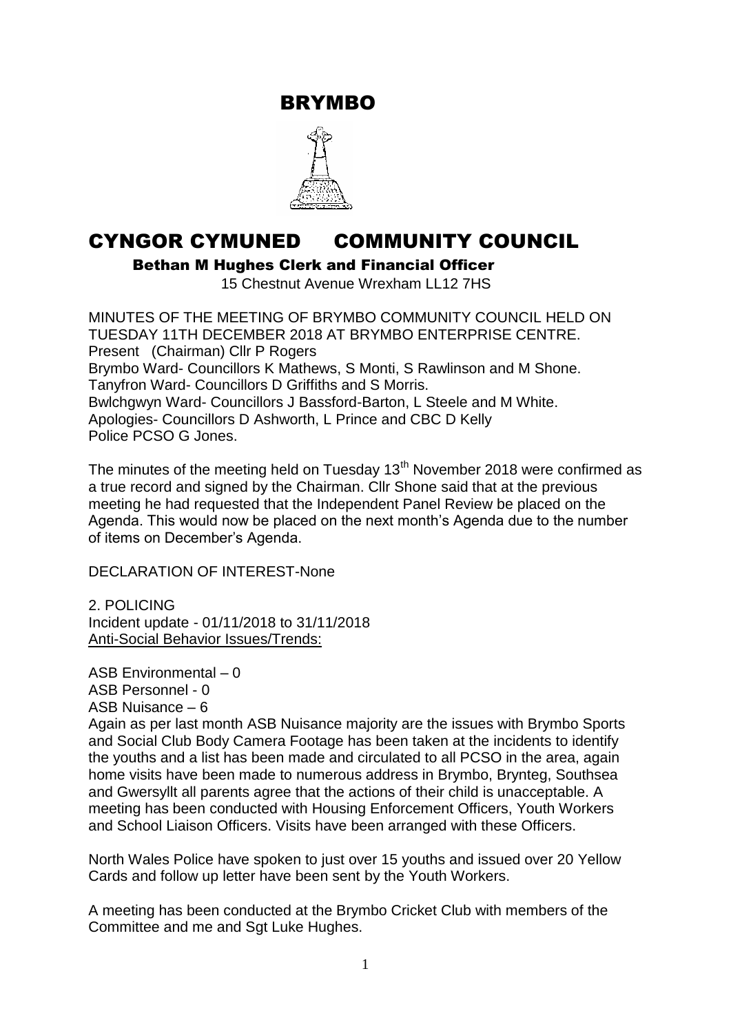BRYMBO



# CYNGOR CYMUNED COMMUNITY COUNCIL

Bethan M Hughes Clerk and Financial Officer

15 Chestnut Avenue Wrexham LL12 7HS

MINUTES OF THE MEETING OF BRYMBO COMMUNITY COUNCIL HELD ON TUESDAY 11TH DECEMBER 2018 AT BRYMBO ENTERPRISE CENTRE. Present (Chairman) Cllr P Rogers Brymbo Ward- Councillors K Mathews, S Monti, S Rawlinson and M Shone. Tanyfron Ward- Councillors D Griffiths and S Morris. Bwlchgwyn Ward- Councillors J Bassford-Barton, L Steele and M White. Apologies- Councillors D Ashworth, L Prince and CBC D Kelly Police PCSO G Jones.

The minutes of the meeting held on Tuesday  $13<sup>th</sup>$  November 2018 were confirmed as a true record and signed by the Chairman. Cllr Shone said that at the previous meeting he had requested that the Independent Panel Review be placed on the Agenda. This would now be placed on the next month's Agenda due to the number of items on December's Agenda.

DECLARATION OF INTEREST-None

2. POLICING Incident update - 01/11/2018 to 31/11/2018 Anti-Social Behavior Issues/Trends:

ASB Environmental – 0 ASB Personnel - 0 ASB Nuisance – 6

Again as per last month ASB Nuisance majority are the issues with Brymbo Sports and Social Club Body Camera Footage has been taken at the incidents to identify the youths and a list has been made and circulated to all PCSO in the area, again home visits have been made to numerous address in Brymbo, Brynteg, Southsea and Gwersyllt all parents agree that the actions of their child is unacceptable. A meeting has been conducted with Housing Enforcement Officers, Youth Workers and School Liaison Officers. Visits have been arranged with these Officers.

North Wales Police have spoken to just over 15 youths and issued over 20 Yellow Cards and follow up letter have been sent by the Youth Workers.

A meeting has been conducted at the Brymbo Cricket Club with members of the Committee and me and Sgt Luke Hughes.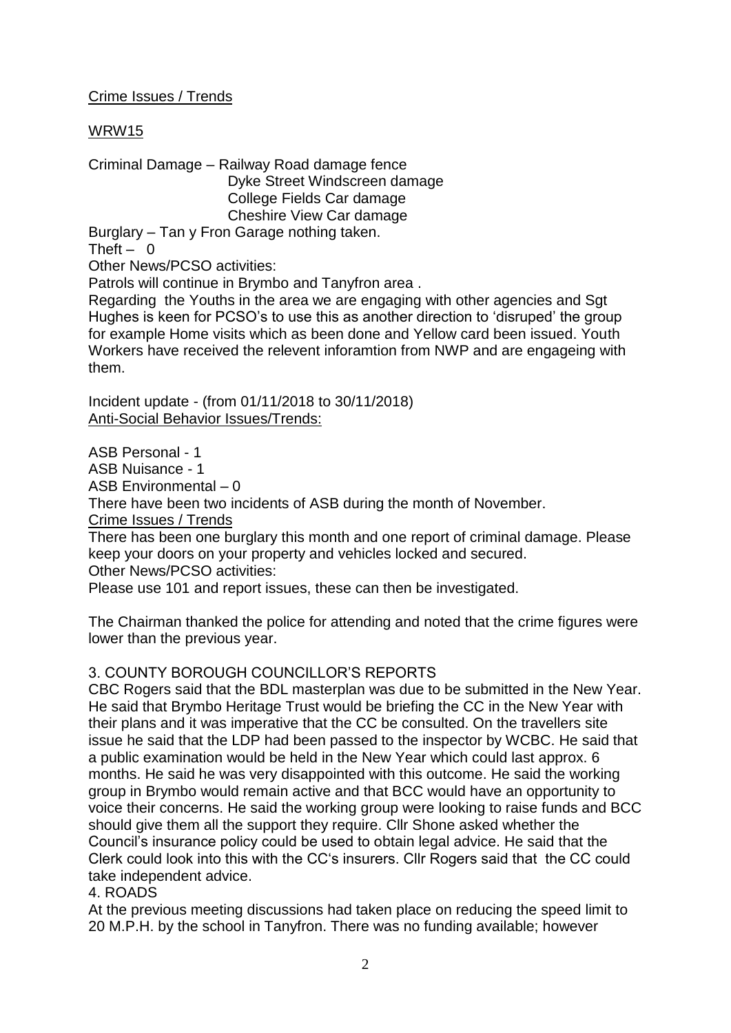# Crime Issues / Trends

## WRW15

Criminal Damage – Railway Road damage fence Dyke Street Windscreen damage College Fields Car damage Cheshire View Car damage Burglary – Tan y Fron Garage nothing taken.

Theft  $- 0$ 

Other News/PCSO activities:

Patrols will continue in Brymbo and Tanyfron area .

Regarding the Youths in the area we are engaging with other agencies and Sgt Hughes is keen for PCSO's to use this as another direction to 'disruped' the group for example Home visits which as been done and Yellow card been issued. Youth Workers have received the relevent inforamtion from NWP and are engageing with them.

Incident update - (from 01/11/2018 to 30/11/2018) Anti-Social Behavior Issues/Trends:

ASB Personal - 1 ASB Nuisance - 1 ASB Environmental – 0 There have been two incidents of ASB during the month of November. Crime Issues / Trends There has been one burglary this month and one report of criminal damage. Please

keep your doors on your property and vehicles locked and secured. Other News/PCSO activities:

Please use 101 and report issues, these can then be investigated.

The Chairman thanked the police for attending and noted that the crime figures were lower than the previous year.

#### 3. COUNTY BOROUGH COUNCILLOR'S REPORTS

CBC Rogers said that the BDL masterplan was due to be submitted in the New Year. He said that Brymbo Heritage Trust would be briefing the CC in the New Year with their plans and it was imperative that the CC be consulted. On the travellers site issue he said that the LDP had been passed to the inspector by WCBC. He said that a public examination would be held in the New Year which could last approx. 6 months. He said he was very disappointed with this outcome. He said the working group in Brymbo would remain active and that BCC would have an opportunity to voice their concerns. He said the working group were looking to raise funds and BCC should give them all the support they require. Cllr Shone asked whether the Council's insurance policy could be used to obtain legal advice. He said that the Clerk could look into this with the CC's insurers. Cllr Rogers said that the CC could take independent advice.

4. ROADS

At the previous meeting discussions had taken place on reducing the speed limit to 20 M.P.H. by the school in Tanyfron. There was no funding available; however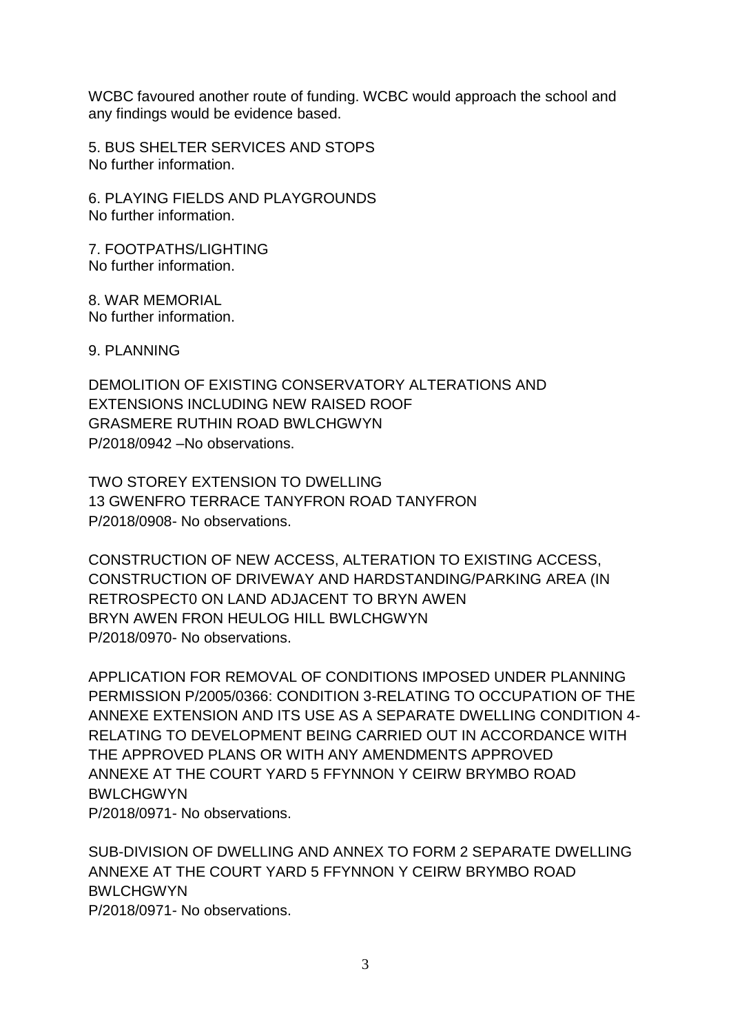WCBC favoured another route of funding. WCBC would approach the school and any findings would be evidence based.

5. BUS SHELTER SERVICES AND STOPS No further information.

6. PLAYING FIELDS AND PLAYGROUNDS No further information.

7. FOOTPATHS/LIGHTING No further information.

8. WAR MEMORIAL No further information.

9. PLANNING

DEMOLITION OF EXISTING CONSERVATORY ALTERATIONS AND EXTENSIONS INCLUDING NEW RAISED ROOF GRASMERE RUTHIN ROAD BWLCHGWYN P/2018/0942 –No observations.

TWO STOREY EXTENSION TO DWELLING 13 GWENFRO TERRACE TANYFRON ROAD TANYFRON P/2018/0908- No observations.

CONSTRUCTION OF NEW ACCESS, ALTERATION TO EXISTING ACCESS, CONSTRUCTION OF DRIVEWAY AND HARDSTANDING/PARKING AREA (IN RETROSPECT0 ON LAND ADJACENT TO BRYN AWEN BRYN AWEN FRON HEULOG HILL BWLCHGWYN P/2018/0970- No observations.

APPLICATION FOR REMOVAL OF CONDITIONS IMPOSED UNDER PLANNING PERMISSION P/2005/0366: CONDITION 3-RELATING TO OCCUPATION OF THE ANNEXE EXTENSION AND ITS USE AS A SEPARATE DWELLING CONDITION 4- RELATING TO DEVELOPMENT BEING CARRIED OUT IN ACCORDANCE WITH THE APPROVED PLANS OR WITH ANY AMENDMENTS APPROVED ANNEXE AT THE COURT YARD 5 FFYNNON Y CEIRW BRYMBO ROAD **BWLCHGWYN** P/2018/0971- No observations.

SUB-DIVISION OF DWELLING AND ANNEX TO FORM 2 SEPARATE DWELLING ANNEXE AT THE COURT YARD 5 FFYNNON Y CEIRW BRYMBO ROAD **BWLCHGWYN** P/2018/0971- No observations.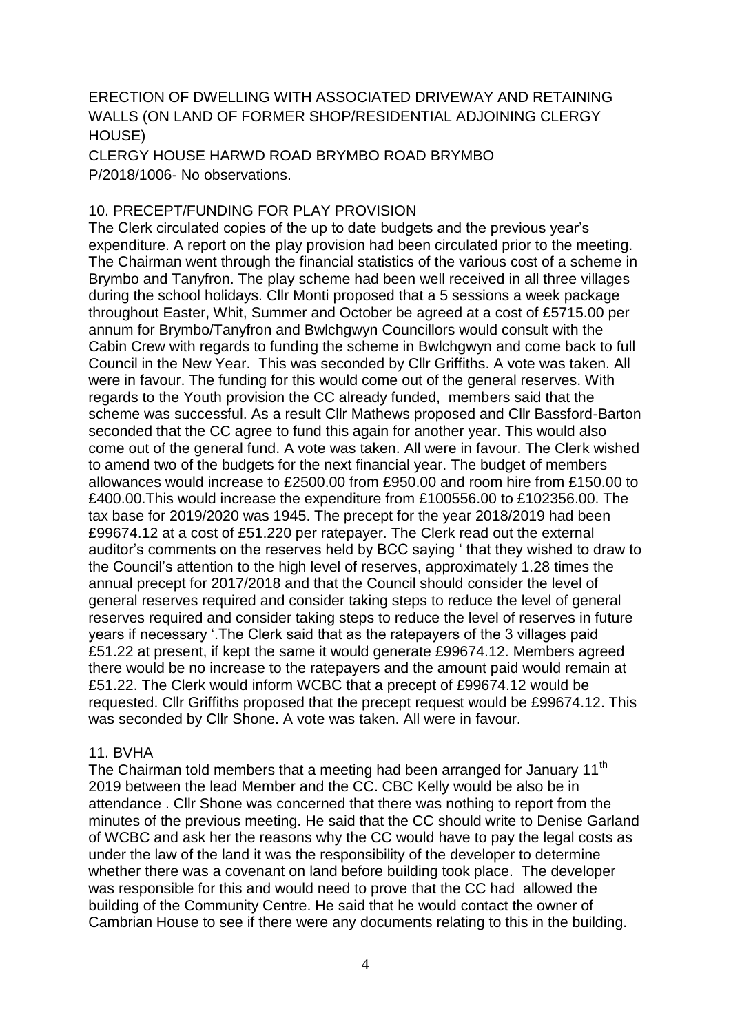# ERECTION OF DWELLING WITH ASSOCIATED DRIVEWAY AND RETAINING WALLS (ON LAND OF FORMER SHOP/RESIDENTIAL ADJOINING CLERGY HOUSE)

CLERGY HOUSE HARWD ROAD BRYMBO ROAD BRYMBO P/2018/1006- No observations.

#### 10. PRECEPT/FUNDING FOR PLAY PROVISION

The Clerk circulated copies of the up to date budgets and the previous year's expenditure. A report on the play provision had been circulated prior to the meeting. The Chairman went through the financial statistics of the various cost of a scheme in Brymbo and Tanyfron. The play scheme had been well received in all three villages during the school holidays. Cllr Monti proposed that a 5 sessions a week package throughout Easter, Whit, Summer and October be agreed at a cost of £5715.00 per annum for Brymbo/Tanyfron and Bwlchgwyn Councillors would consult with the Cabin Crew with regards to funding the scheme in Bwlchgwyn and come back to full Council in the New Year. This was seconded by Cllr Griffiths. A vote was taken. All were in favour. The funding for this would come out of the general reserves. With regards to the Youth provision the CC already funded, members said that the scheme was successful. As a result Cllr Mathews proposed and Cllr Bassford-Barton seconded that the CC agree to fund this again for another year. This would also come out of the general fund. A vote was taken. All were in favour. The Clerk wished to amend two of the budgets for the next financial year. The budget of members allowances would increase to £2500.00 from £950.00 and room hire from £150.00 to £400.00.This would increase the expenditure from £100556.00 to £102356.00. The tax base for 2019/2020 was 1945. The precept for the year 2018/2019 had been £99674.12 at a cost of £51.220 per ratepayer. The Clerk read out the external auditor's comments on the reserves held by BCC saying ' that they wished to draw to the Council's attention to the high level of reserves, approximately 1.28 times the annual precept for 2017/2018 and that the Council should consider the level of general reserves required and consider taking steps to reduce the level of general reserves required and consider taking steps to reduce the level of reserves in future years if necessary '.The Clerk said that as the ratepayers of the 3 villages paid £51.22 at present, if kept the same it would generate £99674.12. Members agreed there would be no increase to the ratepayers and the amount paid would remain at £51.22. The Clerk would inform WCBC that a precept of £99674.12 would be requested. Cllr Griffiths proposed that the precept request would be £99674.12. This was seconded by Cllr Shone. A vote was taken. All were in favour.

#### 11. BVHA

The Chairman told members that a meeting had been arranged for January 11<sup>th</sup> 2019 between the lead Member and the CC. CBC Kelly would be also be in attendance . Cllr Shone was concerned that there was nothing to report from the minutes of the previous meeting. He said that the CC should write to Denise Garland of WCBC and ask her the reasons why the CC would have to pay the legal costs as under the law of the land it was the responsibility of the developer to determine whether there was a covenant on land before building took place. The developer was responsible for this and would need to prove that the CC had allowed the building of the Community Centre. He said that he would contact the owner of Cambrian House to see if there were any documents relating to this in the building.